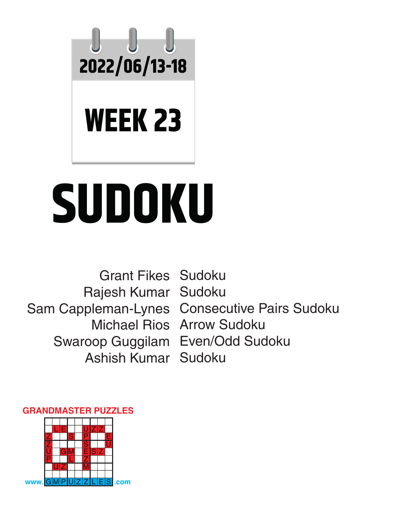

**WEEK 23** 

## **SUDOKU**

Grant Fikes Sudoku Rajesh Kumar Sudoku Sam Cappleman-Lynes Consecutive Pairs Sudoku Michael Rios Arrow Sudoku Swaroop Guggilam Even/Odd Sudoku Ashish Kumar Sudoku

## **GRANDMASTER PUZZLES**

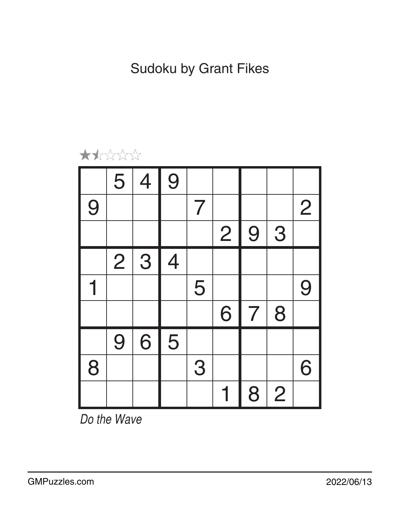

*Do the Wave*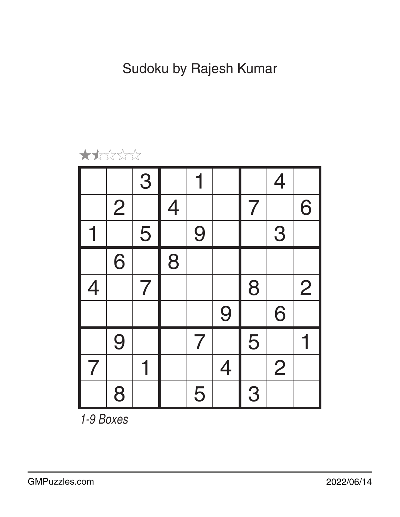Sudoku by Rajesh Kumar



|                |                | 3 |                |                |                |                | $\overline{4}$ |   |
|----------------|----------------|---|----------------|----------------|----------------|----------------|----------------|---|
|                | $\overline{2}$ |   | $\overline{4}$ |                |                | $\overline{7}$ |                | 6 |
|                |                | 5 |                | 9              |                |                | 3              |   |
|                | 6              |   | 8              |                |                |                |                |   |
| $\overline{4}$ |                | 7 |                |                |                | 8              |                | 2 |
|                |                |   |                |                | 9              |                | 6              |   |
|                | 9              |   |                | $\overline{7}$ |                | 5              |                |   |
| 7              |                |   |                |                | $\overline{4}$ |                | 2              |   |
|                | 8              |   |                | 5              |                | 3              |                |   |

*1-9 Boxes*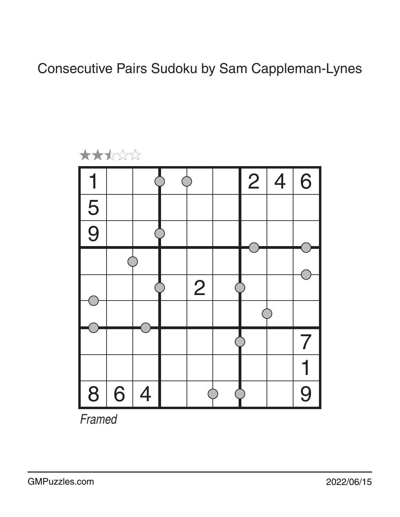## Consecutive Pairs Sudoku by Sam Cappleman-Lynes



*Framed*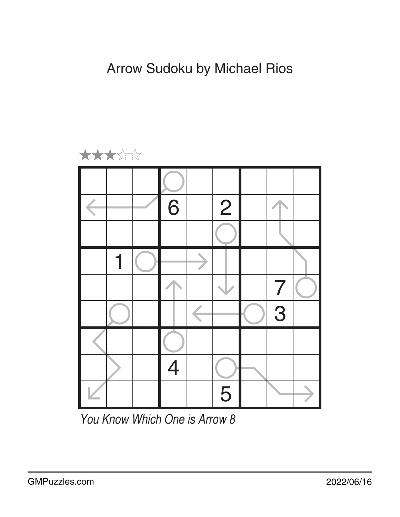Arrow Sudoku by Michael Rios





*You Know Which One is Arrow 8*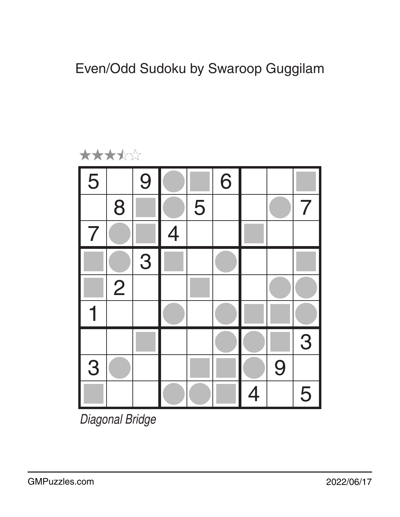Even/Odd Sudoku by Swaroop Guggilam



*Diagonal Bridge*